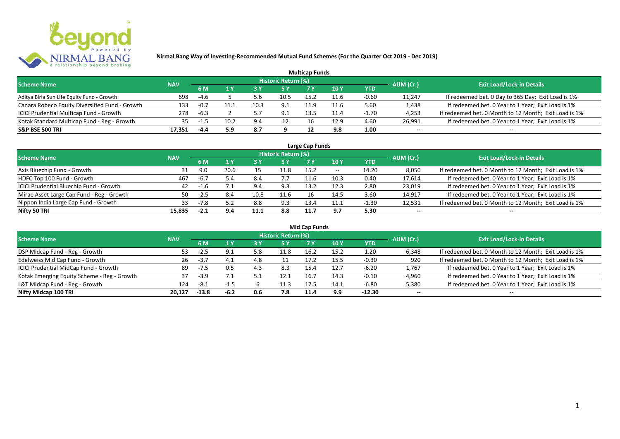

|                                                |            |        |      |      |                     | <b>Multicap Funds</b> |      |         |           |                                                       |
|------------------------------------------------|------------|--------|------|------|---------------------|-----------------------|------|---------|-----------|-------------------------------------------------------|
| <b>Scheme Name</b>                             | <b>NAV</b> |        |      |      | Historic Return (%) |                       |      |         | AUM (Cr.) | <b>Exit Load/Lock-in Details</b>                      |
|                                                |            | 6 M    |      |      |                     |                       | 10 Y | YTD     |           |                                                       |
| Aditya Birla Sun Life Equity Fund - Growth     | 698        | -4.6   |      | 5.6  | 10.5                | 15.2                  | 11.6 | $-0.60$ | 11,247    | If redeemed bet. 0 Day to 365 Day; Exit Load is 1%    |
| Canara Robeco Equity Diversified Fund - Growth | 133        | $-0.7$ |      | 10.3 | 9.1                 | 11.9                  | 11.6 | 5.60    | 1,438     | If redeemed bet. 0 Year to 1 Year; Exit Load is 1%    |
| ICICI Prudential Multicap Fund - Growth        | 278        | $-6.3$ |      |      |                     | 13.5                  |      | $-1.70$ | 4,253     | If redeemed bet. 0 Month to 12 Month; Exit Load is 1% |
| Kotak Standard Multicap Fund - Reg - Growth    | 35         | -1.5   | 10.2 | 9.4  | 12                  |                       | 12.9 | 4.60    | 26,991    | If redeemed bet. 0 Year to 1 Year; Exit Load is 1%    |
| <b>S&amp;P BSE 500 TRI</b>                     | 17.351     | -4.4   | 5.9  | -8.7 |                     |                       | 9.8  | 1.00    | --        | $- -$                                                 |

| Large Cap Funds                           |            |        |      |      |                            |      |            |         |           |                                                       |  |  |  |
|-------------------------------------------|------------|--------|------|------|----------------------------|------|------------|---------|-----------|-------------------------------------------------------|--|--|--|
| <b>Scheme Name</b>                        | <b>NAV</b> |        |      |      | <b>Historic Return (%)</b> |      |            |         | AUM (Cr.) | <b>Exit Load/Lock-in Details</b>                      |  |  |  |
|                                           |            | 6 M    |      |      | 5 Y                        |      | <b>10Y</b> | YTD     |           |                                                       |  |  |  |
| Axis Bluechip Fund - Growth               | 31         | 9.0    | 20.6 |      | 11.8                       | 15.2 | $- -$      | 14.20   | 8,050     | If redeemed bet. 0 Month to 12 Month; Exit Load is 1% |  |  |  |
| HDFC Top 100 Fund - Growth                | 467        | $-6.7$ | 5.4  | 8.4  | 7.7                        | 11.6 | 10.3       | 0.40    | 17,614    | If redeemed bet. 0 Year to 1 Year; Exit Load is 1%    |  |  |  |
| ICICI Prudential Bluechip Fund - Growth   | 42         | $-1.6$ |      | 9.4  | 9.3                        | 13.2 | 12.3       | 2.80    | 23,019    | If redeemed bet. 0 Year to 1 Year; Exit Load is 1%    |  |  |  |
| Mirae Asset Large Cap Fund - Reg - Growth | 50         | -2.5   | 8.4  | 10.8 | 11.6                       |      | 14.5       | 3.60    | 14,917    | If redeemed bet. 0 Year to 1 Year; Exit Load is 1%    |  |  |  |
| Nippon India Large Cap Fund - Growth      | 33         | $-7.8$ | 57   | 8.8  | 9.3                        | 13.4 | 11.1       | $-1.30$ | 12,531    | If redeemed bet. 0 Month to 12 Month; Exit Load is 1% |  |  |  |
| Nifty 50 TRI                              | 15.835     | $-2.1$ | 9.4  | 11.1 | 8.8                        | 11.7 | 9.7        | 5.30    | $- -$     | $- -$                                                 |  |  |  |

| <b>Mid Cap Funds</b>                        |            |         |        |     |                            |      |      |            |           |                                                       |  |  |  |
|---------------------------------------------|------------|---------|--------|-----|----------------------------|------|------|------------|-----------|-------------------------------------------------------|--|--|--|
| <b>Scheme Name</b>                          | <b>NAV</b> |         |        |     | <b>Historic Return (%)</b> |      |      |            | AUM (Cr.) | <b>Exit Load/Lock-in Details</b>                      |  |  |  |
|                                             |            | 6 M     |        |     | <b>5 Y</b>                 | 7 Y  | 10 Y | <b>YTD</b> |           |                                                       |  |  |  |
| DSP Midcap Fund - Reg - Growth              | 53         | -2.5    | 9.1    | 5.8 | 11.8                       | 16.2 | 15.2 | 1.20       | 6,348     | If redeemed bet. 0 Month to 12 Month; Exit Load is 1% |  |  |  |
| Edelweiss Mid Cap Fund - Growth             | 26         | $-3.7$  | 4.1    | 4.8 |                            | 17.2 | 15.5 | -0.30      | 920       | If redeemed bet. 0 Month to 12 Month; Exit Load is 1% |  |  |  |
| ICICI Prudential MidCap Fund - Growth       | 89         | -7.5    | 0.5    | 4.3 | 8.3                        | 15.4 | 12.7 | $-6.20$    | 1,767     | If redeemed bet. 0 Year to 1 Year; Exit Load is 1%    |  |  |  |
| Kotak Emerging Equity Scheme - Reg - Growth |            | $-3.9$  |        |     | 12.1                       | 16.  | 14.3 | $-0.10$    | 4,960     | If redeemed bet. 0 Year to 1 Year; Exit Load is 1%    |  |  |  |
| L&T Midcap Fund - Reg - Growth              | 124        | -8.1    | $-1.5$ |     | 11.3                       | 17.5 | 14.1 | -6.80      | 5,380     | If redeemed bet. 0 Year to 1 Year; Exit Load is 1%    |  |  |  |
| Nifty Midcap 100 TRI                        | 20.127     | $-13.8$ | $-6.2$ |     | 7.8                        | 11.4 | 9.9  | $-12.30$   | $- -$     | $- -$                                                 |  |  |  |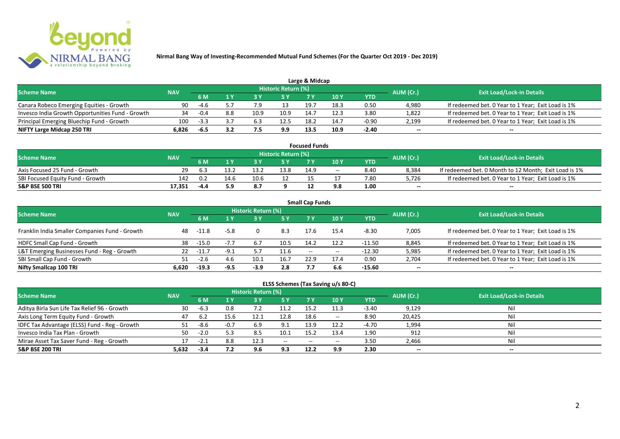

|                                                  |            |        |     |      |                            | Large & Midcap |      |         |           |                                                    |
|--------------------------------------------------|------------|--------|-----|------|----------------------------|----------------|------|---------|-----------|----------------------------------------------------|
| <b>Scheme Name</b>                               | <b>NAV</b> |        |     |      | <b>Historic Return (%)</b> |                |      |         | AUM (Cr.) | <b>Exit Load/Lock-in Details</b>                   |
|                                                  |            | 6 M    |     |      | 5 Y                        |                |      | YTD     |           |                                                    |
| Canara Robeco Emerging Equities - Growth         | 90         | -4.6   |     |      |                            | 19.            | 18.3 | 0.50    | 4.980     | If redeemed bet. 0 Year to 1 Year; Exit Load is 1% |
| Invesco India Growth Opportunities Fund - Growth |            | $-0.4$ | 8.8 | 10.9 | 10.9                       | 14.7           | 12.3 | 3.80    | 1,822     | If redeemed bet. 0 Year to 1 Year; Exit Load is 1% |
| Principal Emerging Bluechip Fund - Growth        | 100        | $-3.3$ |     |      | 12.5                       | 18.2           | 14.7 | $-0.90$ | 2,199     | If redeemed bet. 0 Year to 1 Year; Exit Load is 1% |
| NIFTY Large Midcap 250 TRI                       | 6.826      | -6.5   |     |      | 9.9                        | 13.5           | 10.9 | $-2.40$ | $- -$     | $- -$                                              |

| <b>Focused Funds</b>             |            |      |      |      |                            |      |       |      |           |                                                       |  |  |  |
|----------------------------------|------------|------|------|------|----------------------------|------|-------|------|-----------|-------------------------------------------------------|--|--|--|
| <b>Scheme Name</b>               | <b>NAV</b> |      |      |      | <b>Historic Return (%)</b> |      |       |      | AUM (Cr.) | <b>Exit Load/Lock-in Details</b>                      |  |  |  |
|                                  |            | 6 M  |      |      | 5 Y                        |      | 10 Y  | YTD  |           |                                                       |  |  |  |
| Axis Focused 25 Fund - Growth    | 29         | -6.3 | 13.2 | 13.2 | 13.8                       | 14.9 | $- -$ | 8.40 | 8,384     | If redeemed bet. 0 Month to 12 Month; Exit Load is 1% |  |  |  |
| SBI Focused Equity Fund - Growth | 142        | 0.2  | 14.6 | 10.6 | 12                         |      |       | 7.80 | 5,726     | If redeemed bet. 0 Year to 1 Year; Exit Load is 1%    |  |  |  |
| <b>S&amp;P BSE 500 TRI</b>       | 17.351     | -4.4 | 5.9  | 8.7  |                            |      |       | 1.00 | $-$       | $-$                                                   |  |  |  |

| <b>Small Cap Funds</b>                         |            |         |        |                     |      |                   |       |            |           |                                                    |  |  |  |
|------------------------------------------------|------------|---------|--------|---------------------|------|-------------------|-------|------------|-----------|----------------------------------------------------|--|--|--|
| <b>Scheme Name</b>                             | <b>NAV</b> |         |        | Historic Return (%) |      |                   |       |            | AUM (Cr.) | <b>Exit Load/Lock-in Details</b>                   |  |  |  |
|                                                |            |         |        |                     | 5 Y  | 7 Y               | 710Y  | <b>YTD</b> |           |                                                    |  |  |  |
| Franklin India Smaller Companies Fund - Growth | 48         | -11.8   | $-5.8$ | 0                   | 8.3  | 17.6              | 15.4  | $-8.30$    | 7,005     | If redeemed bet. 0 Year to 1 Year; Exit Load is 1% |  |  |  |
| HDFC Small Cap Fund - Growth                   | 38         | -15.0   |        | 6.7                 | 10.5 | 14.2              | 12.2  | -11.50     | 8,845     | If redeemed bet. 0 Year to 1 Year; Exit Load is 1% |  |  |  |
| L&T Emerging Businesses Fund - Reg - Growth    | 22         | $-11.7$ | -9.1   |                     | 11.6 | $\hspace{0.05cm}$ | $- -$ | $-12.30$   | 5,985     | If redeemed bet. 0 Year to 1 Year; Exit Load is 1% |  |  |  |
| SBI Small Cap Fund - Growth                    | 51         | $-2.6$  | 4.6    | 10.1                | 16.7 | 22.9              | 17.4  | 0.90       | 2,704     | If redeemed bet. 0 Year to 1 Year; Exit Load is 1% |  |  |  |
| Nifty Smallcap 100 TRI                         | 6.620      | $-19.3$ | $-9.5$ | $-3.9$              | 2.8  |                   | 6.6   | $-15.60$   | $- -$     | --                                                 |  |  |  |

## **ELSS Schemes (Tax Saving u/s 80-C)**

| <b>Scheme Name</b>                            | <b>NAV</b> |        |        | <b>Historic Return (%)</b> |           |       |               |         | AUM (Cr.) | <b>Exit Load/Lock-in Details</b> |
|-----------------------------------------------|------------|--------|--------|----------------------------|-----------|-------|---------------|---------|-----------|----------------------------------|
|                                               |            | 6 M    |        |                            | <b>5Y</b> | 7 Y   | <b>10Y</b>    | YTD     |           |                                  |
| Aditya Birla Sun Life Tax Relief 96 - Growth  | 30         | -6.3   | 0.8    | 7.Z                        | 11.2      | 15.2  | 11.3          | $-3.40$ | 9,129     | Nil                              |
| Axis Long Term Equity Fund - Growth           | 47         | 6.2    | 15.6   | 12.1                       | 12.8      | 18.6  | $\sim$ $\sim$ | 8.90    | 20,425    | Nil                              |
| IDFC Tax Advantage (ELSS) Fund - Reg - Growth |            | -8.6   | $-0.7$ | 6.9                        | 9.1       | 13.9  | 12.2          | -4.70   | 1,994     | Nil                              |
| Invesco India Tax Plan - Growth               | 50         | $-2.0$ | 5.3    | 8.5                        | 10.1      | 15.2  | 13.4          | 1.90    | 912       | Nil                              |
| Mirae Asset Tax Saver Fund - Reg - Growth     |            | $-2.1$ | 8.8    | 12.3                       | $  \,$    | $- -$ | $- -$         | 3.50    | 2,466     | Nil                              |
| <b>S&amp;P BSE 200 TRI</b>                    | 5.632      | $-3.4$ |        | 9.6                        | 9.3       | 12.2  | 9.9           | 2.30    | $- -$     | $- -$                            |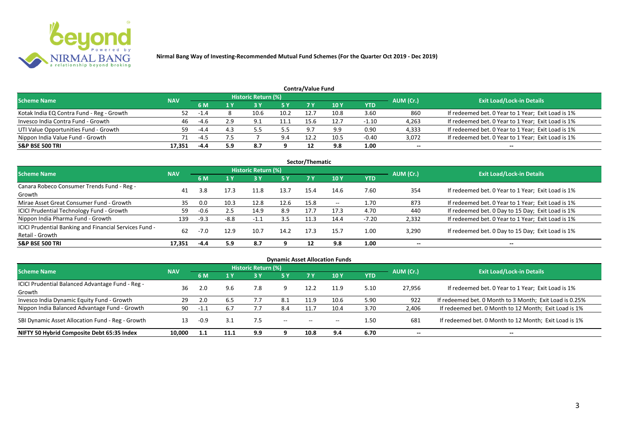

|                                           |            |        |     |                            |            | Contra/Value Fund |             |         |           |                                                    |
|-------------------------------------------|------------|--------|-----|----------------------------|------------|-------------------|-------------|---------|-----------|----------------------------------------------------|
| <b>Scheme Name</b>                        | <b>NAV</b> |        |     | <b>Historic Return (%)</b> |            |                   |             |         | AUM (Cr.) | <b>Exit Load/Lock-in Details</b>                   |
|                                           |            | 6 M    |     |                            | <b>5 Y</b> | 7 V               | <b>10 Y</b> | YTD     |           |                                                    |
| Kotak India EQ Contra Fund - Reg - Growth | 52         | $-1.4$ |     | 10.6                       | 10.2       | 12.7              | 10.8        | 3.60    | 860       | If redeemed bet. 0 Year to 1 Year; Exit Load is 1% |
| Invesco India Contra Fund - Growth        | 46         | -4.6   | 2.9 | 9.1                        |            | 15.6              | 12.7        | $-1.10$ | 4,263     | If redeemed bet. 0 Year to 1 Year; Exit Load is 1% |
| UTI Value Opportunities Fund - Growth     | 59         | -4.4   | 4.3 |                            | 5.5        | - Q 7             | 9.9         | 0.90    | 4,333     | If redeemed bet. 0 Year to 1 Year; Exit Load is 1% |
| Nippon India Value Fund - Growth          | 71         | $-4.5$ | 7.5 |                            | 9.4        | 12.2              | 10.5        | $-0.40$ | 3,072     | If redeemed bet. 0 Year to 1 Year; Exit Load is 1% |
| <b>S&amp;P BSE 500 TRI</b>                | 17.351     | $-4.4$ | 5.9 | 8.7                        |            |                   | 9.8         | 1.00    | $- -$     | $- -$                                              |

|                                                        |            |        |        |                            |      | Sector/Thematic |            |         |           |                                                    |
|--------------------------------------------------------|------------|--------|--------|----------------------------|------|-----------------|------------|---------|-----------|----------------------------------------------------|
| <b>Scheme Name</b>                                     | <b>NAV</b> |        |        | <b>Historic Return (%)</b> |      |                 |            |         | AUM (Cr.) | <b>Exit Load/Lock-in Details</b>                   |
|                                                        |            | 6 M    | 1Y     | 73 Y                       | 5 Y  | 7 Y             | <b>10Y</b> | YTD     |           |                                                    |
| Canara Robeco Consumer Trends Fund - Reg -             | 41         | 3.8    | 17.3   | 11.8                       | 13.7 | 15.4            | 14.6       | 7.60    | 354       | If redeemed bet. 0 Year to 1 Year; Exit Load is 1% |
| Growth                                                 |            |        |        |                            |      |                 |            |         |           |                                                    |
| Mirae Asset Great Consumer Fund - Growth               | 35         | 0.0    | 10.3   | 12.8                       | 12.6 | 15.8            | $- -$      | 1.70    | 873       | If redeemed bet. 0 Year to 1 Year; Exit Load is 1% |
| <b>ICICI Prudential Technology Fund - Growth</b>       | 59         | -0.6   | 2.5    | 14.9                       | 8.9  | 17.7            | 17.3       | 4.70    | 440       | If redeemed bet. 0 Day to 15 Day; Exit Load is 1%  |
| Nippon India Pharma Fund - Growth                      | 139        | $-9.3$ | $-8.8$ | $-1.1$                     | 3.5  | 11.3            | 14.4       | $-7.20$ | 2,332     | If redeemed bet. 0 Year to 1 Year; Exit Load is 1% |
| ICICI Prudential Banking and Financial Services Fund - | 62         | $-7.0$ |        |                            |      | 17.3            |            |         |           |                                                    |
| Retail - Growth                                        |            |        | 12.9   | 10.7                       | 14.2 |                 | 15.7       | 1.00    | 3,290     | If redeemed bet. 0 Day to 15 Day; Exit Load is 1%  |
| <b>S&amp;P BSE 500 TRI</b>                             | 17.351     | -4.4   | 5.9    | -8.7                       | a    | 12              | 9.8        | 1.00    | --        | $- -$                                              |

|                                                  |            |      |      |                            |               |       | <b>Dynamic Asset Allocation Funds</b> |      |           |                                                         |
|--------------------------------------------------|------------|------|------|----------------------------|---------------|-------|---------------------------------------|------|-----------|---------------------------------------------------------|
| <b>Scheme Name</b>                               | <b>NAV</b> |      |      | <b>Historic Return (%)</b> |               |       |                                       |      | AUM (Cr.) | <b>Exit Load/Lock-in Details</b>                        |
|                                                  |            | 6 M  | 1 Y  | 73 Y                       | 5 Y           | 7 Y   | <b>10Y</b>                            | YTD  |           |                                                         |
| ICICI Prudential Balanced Advantage Fund - Reg - | 36         |      | 9.6  | 7.8                        | 9             | 12.2  | 11.9                                  | 5.10 | 27,956    | If redeemed bet. 0 Year to 1 Year; Exit Load is 1%      |
| Growth                                           |            |      |      |                            |               |       |                                       |      |           |                                                         |
| Invesco India Dynamic Equity Fund - Growth       | 29         | 2.0  | -6.5 |                            | 8.1           | 11.9  | 10.6                                  | 5.90 | 922       | If redeemed bet. 0 Month to 3 Month; Exit Load is 0.25% |
| Nippon India Balanced Advantage Fund - Growth    | 90         |      | 6.7  |                            | 8.4           |       | 10.4                                  | 3.70 | 2,406     | If redeemed bet. 0 Month to 12 Month; Exit Load is 1%   |
| SBI Dynamic Asset Allocation Fund - Reg - Growth | 13         | -0.9 | 3.1  |                            | $\sim$ $\sim$ | $- -$ | $- -$                                 | 1.50 | 681       | If redeemed bet. 0 Month to 12 Month; Exit Load is 1%   |
| NIFTY 50 Hybrid Composite Debt 65:35 Index       | 10,000     | 1.1  | 11.1 | 9.9                        |               | 10.8  | 9.4                                   | 6.70 | $- -$     | $- -$                                                   |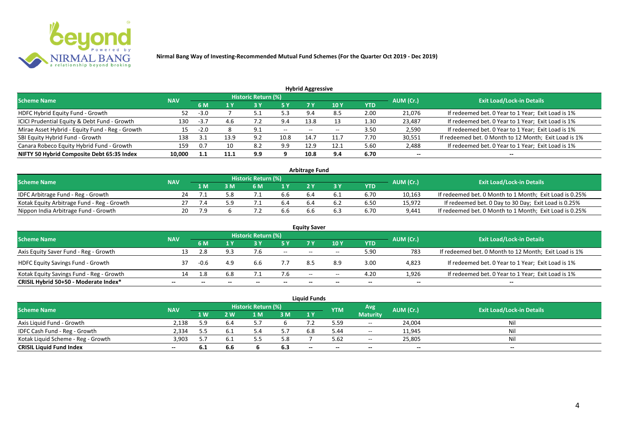

| <b>Hybrid Aggressive</b>                        |            |        |      |                            |            |                          |            |            |           |                                                       |  |  |  |
|-------------------------------------------------|------------|--------|------|----------------------------|------------|--------------------------|------------|------------|-----------|-------------------------------------------------------|--|--|--|
| <b>Scheme Name</b>                              | <b>NAV</b> |        |      | <b>Historic Return (%)</b> |            |                          |            |            | AUM (Cr.) | <b>Exit Load/Lock-in Details</b>                      |  |  |  |
|                                                 |            | 6 M    |      | 3 Y                        | <b>5 Y</b> | 7 V                      | <b>10Y</b> | <b>YTD</b> |           |                                                       |  |  |  |
| HDFC Hybrid Equity Fund - Growth                | 52         | $-3.0$ |      |                            | 5.3        | $\alpha$                 | 8.5        | 2.00       | 21,076    | If redeemed bet. 0 Year to 1 Year; Exit Load is 1%    |  |  |  |
| ICICI Prudential Equity & Debt Fund - Growth    | 130        | $-3.7$ | 4.6  | ے ،                        | 9.4        | 13.8                     |            | 1.30       | 23,487    | If redeemed bet. 0 Year to 1 Year; Exit Load is 1%    |  |  |  |
| Mirae Asset Hybrid - Equity Fund - Reg - Growth | 15         | $-2.0$ |      | 9.1                        | $- -$      | $\overline{\phantom{a}}$ | --         | 3.50       | 2,590     | If redeemed bet. 0 Year to 1 Year; Exit Load is 1%    |  |  |  |
| SBI Equity Hybrid Fund - Growth                 | 138        |        | 13.9 | 9.2                        | 10.8       | 14.                      | 11.7       | 7.70       | 30,551    | If redeemed bet. 0 Month to 12 Month; Exit Load is 1% |  |  |  |
| Canara Robeco Equity Hybrid Fund - Growth       | 159        | 0.7    | 10   | 8.2                        | 9.9        | 12.9                     | 12.1       | 5.60       | 2,488     | If redeemed bet. 0 Year to 1 Year; Exit Load is 1%    |  |  |  |
| NIFTY 50 Hybrid Composite Debt 65:35 Index      | 10,000     | 1.1    | 11.1 | 9.9                        |            | 10.8                     | 9.4        | 6.70       | $- -$     | $- -$                                                 |  |  |  |

| <b>Arbitrage Fund</b>                      |            |     |     |                     |     |  |     |            |           |                                                         |  |  |  |
|--------------------------------------------|------------|-----|-----|---------------------|-----|--|-----|------------|-----------|---------------------------------------------------------|--|--|--|
| <b>Scheme Name</b>                         | <b>NAV</b> |     |     | Historic Return (%) |     |  |     |            | AUM (Cr.) | <b>Exit Load/Lock-in Details</b>                        |  |  |  |
|                                            |            | 1 M | M   | 6 M                 | 1 V |  |     | <b>YTD</b> |           |                                                         |  |  |  |
| IDFC Arbitrage Fund - Reg - Growth         |            |     | 5.8 |                     | 6.b |  | 0.I | 6.70       | 10,163    | If redeemed bet. 0 Month to 1 Month; Exit Load is 0.25% |  |  |  |
| Kotak Equity Arbitrage Fund - Reg - Growth |            |     | ە : |                     |     |  |     | 6.50       | 15,972    | If redeemed bet. 0 Day to 30 Day; Exit Load is 0.25%    |  |  |  |
| Nippon India Arbitrage Fund - Growth       |            |     |     |                     | 6.b |  |     | 6.70       | 9.441     | If redeemed bet. 0 Month to 1 Month; Exit Load is 0.25% |  |  |  |

| <b>Equity Saver</b>                      |            |        |     |                            |        |       |       |            |           |                                                       |  |  |  |
|------------------------------------------|------------|--------|-----|----------------------------|--------|-------|-------|------------|-----------|-------------------------------------------------------|--|--|--|
| <b>Scheme Name</b>                       | <b>NAV</b> |        |     | <b>Historic Return (%)</b> |        |       |       |            | AUM (Cr.) | <b>Exit Load/Lock-in Details</b>                      |  |  |  |
|                                          |            | 6 M    |     |                            | 5 Y    | 7V    | 10Y   | <b>YTD</b> |           |                                                       |  |  |  |
| Axis Equity Saver Fund - Reg - Growth    | 13         |        | 9.3 |                            | $\sim$ | $- -$ | $- -$ | 5.90       | 783       | If redeemed bet. 0 Month to 12 Month; Exit Load is 1% |  |  |  |
| <b>HDFC Equity Savings Fund - Growth</b> |            | $-0.6$ | 4.9 | b.b                        |        | 8.5   | 8.9   | 3.00       | 4,823     | If redeemed bet. 0 Year to 1 Year; Exit Load is 1%    |  |  |  |
| Kotak Equity Savings Fund - Reg - Growth | 14         | .8.    | 6.8 |                            | 7.6    | $- -$ | $- -$ | 4.20       | 1.926     | If redeemed bet. 0 Year to 1 Year; Exit Load is 1%    |  |  |  |
| CRISIL Hybrid 50+50 - Moderate Index*    | $- -$      |        |     |                            |        | --    | $- -$ | $- -$      | $- -$     | $- -$                                                 |  |  |  |

|                                    |            |     |              |                     |     | Liauid Funds |            |                 |           |                                  |
|------------------------------------|------------|-----|--------------|---------------------|-----|--------------|------------|-----------------|-----------|----------------------------------|
| <b>Scheme Name</b>                 | <b>NAV</b> |     |              | Historic Return (%) |     |              | <b>YTM</b> | Avg.            | AUM (Cr.) | <b>Exit Load/Lock-in Details</b> |
|                                    |            | 1 W | $\mathbf{w}$ | 1 M                 | 3 M | 1Y           |            | <b>Maturity</b> |           |                                  |
| Axis Liquid Fund - Growth          | 2.138      | 5.9 | 6.4          |                     |     |              | 5.59       | $\sim$          | 24,004    | Nil                              |
| IDFC Cash Fund - Reg - Growth      | 2.334      |     | 6.1          |                     | 57  | 6.8          | 5.44       | $- -$           | 11,945    | Nil                              |
| Kotak Liquid Scheme - Reg - Growth | 3,903      |     | -6.1         |                     | 5.8 |              | 5.62       | $- -$           | 25,805    | Nil                              |
| <b>CRISIL Liquid Fund Index</b>    | $- -$      | 6.1 | 6.6          |                     | 6.3 | $-$          | $- -$      | $-$             | $-$       | $- -$                            |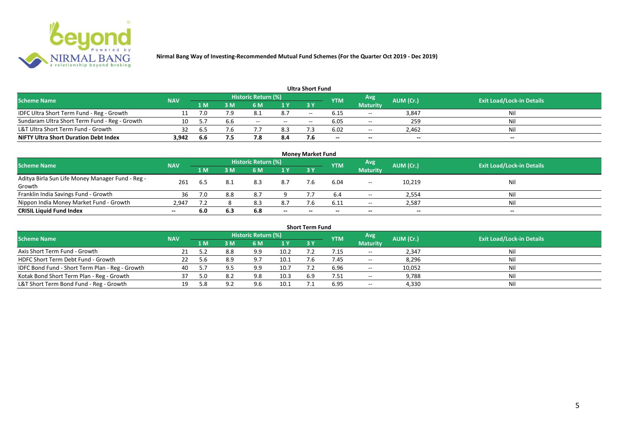

|                                               |            |       |     |                            |               | <b>Ultra Short Fund</b> |            |                 |           |                                  |
|-----------------------------------------------|------------|-------|-----|----------------------------|---------------|-------------------------|------------|-----------------|-----------|----------------------------------|
| <b>Scheme Name</b>                            | <b>NAV</b> |       |     | <b>Historic Return (%)</b> |               |                         | <b>YTM</b> | Avg             | AUM (Cr.) | <b>Exit Load/Lock-in Details</b> |
|                                               |            | 1 M   | 3 M | 6 M                        | 1 Y           | 73 Y                    |            | <b>Maturity</b> |           |                                  |
| IDFC Ultra Short Term Fund - Reg - Growth     |            | 7.0   | 7.9 | 8.1                        | 8.7           | $- -$                   |            | $\sim$ $\sim$   | 3,847     | Nil                              |
| Sundaram Ultra Short Term Fund - Reg - Growth | 10         |       | 6.6 | $- -$                      | $\sim$ $\sim$ | $- -$                   | 6.05       | $\sim$ $-$      | 259       | Nil                              |
| L&T Ultra Short Term Fund - Growth            |            | - 6.5 | 7.6 |                            | 8.3           |                         | 6.02       | $\sim$ $-$      | 2.462     | Nil                              |
| <b>NIFTY Ultra Short Duration Debt Index</b>  | 3,942      | 6.6   | 7.5 |                            | 8.4           |                         | $-$        | $-$             | $- -$     | $- -$                            |

|                                                  |            |     |     |                            |       | <b>Money Market Fund</b> |            |                          |           |                                  |
|--------------------------------------------------|------------|-----|-----|----------------------------|-------|--------------------------|------------|--------------------------|-----------|----------------------------------|
| <b>Scheme Name</b>                               | <b>NAV</b> |     |     | <b>Historic Return (%)</b> |       |                          | <b>YTM</b> | Avg                      | AUM (Cr.) | <b>Exit Load/Lock-in Details</b> |
|                                                  |            | 1 M | 3 M | 6 M                        | 1Y    | 73 Y                     |            | <b>Maturity</b>          |           |                                  |
| Aditya Birla Sun Life Money Manager Fund - Reg - | 261        |     |     | 8.3                        | 8.7   |                          | 6.04       |                          | 10,219    | Nil                              |
| Growth                                           |            | b.5 |     |                            |       |                          |            | $\overline{\phantom{a}}$ |           |                                  |
| Franklin India Savings Fund - Growth             | 36         | 7.0 | 8.8 | 8.7                        |       |                          |            | $- -$                    | 2,554     | Nil                              |
| Nippon India Money Market Fund - Growth          | 2,947      | 7.2 |     | 8.3                        | 8.7   |                          | 6.11       | $  \,$                   | 2,587     | Nil                              |
| <b>CRISIL Liquid Fund Index</b>                  | $- -$      | 6.0 | 6.3 | 6.8                        | $- -$ | $- -$                    | --         | $- -$                    | $-$       | $- -$                            |

| <b>Short Term Fund</b>                          |            |      |     |                     |      |            |            |                 |           |                                  |  |  |  |
|-------------------------------------------------|------------|------|-----|---------------------|------|------------|------------|-----------------|-----------|----------------------------------|--|--|--|
| <b>Scheme Name</b>                              | <b>NAV</b> |      |     | Historic Return (%) |      |            | <b>YTM</b> | Avg             | AUM (Cr.) | <b>Exit Load/Lock-in Details</b> |  |  |  |
|                                                 |            | 1 M. | 3 M | 6 M                 | 1Y   | <b>3 Y</b> |            | <b>Maturity</b> |           |                                  |  |  |  |
| Axis Short Term Fund - Growth                   |            |      | 8.8 | 9.9                 | 10.2 |            | .15        | $\sim$ $\sim$   | 2,347     | Nil                              |  |  |  |
| HDFC Short Term Debt Fund - Growth              |            |      |     | 9.7                 | 10.1 |            | 7.45       | $- -$           | 8,296     | Nil                              |  |  |  |
| IDFC Bond Fund - Short Term Plan - Reg - Growth | 40         |      |     | 9.9                 | 10.7 |            | 6.96       | $  \,$          | 10,052    | Nil                              |  |  |  |
| Kotak Bond Short Term Plan - Reg - Growth       | 37         | 5.0  | 8.2 | 9.8                 | 10.3 | 6.9        | 7.51       | $\sim$ $\sim$   | 9,788     | Nil                              |  |  |  |
| L&T Short Term Bond Fund - Reg - Growth         |            | -8   |     | 9.6                 | 10.1 |            | 6.95       | $- -$           | 4,330     | Nil                              |  |  |  |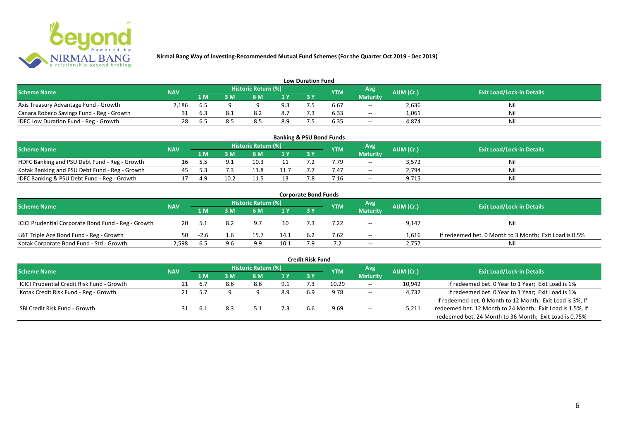

|                                           |            |     |     |                     |                | <b>Low Duration Fund</b> |            |                 |           |                                  |
|-------------------------------------------|------------|-----|-----|---------------------|----------------|--------------------------|------------|-----------------|-----------|----------------------------------|
| <b>Scheme Name</b>                        | <b>NAV</b> |     |     | Historic Return (%) |                |                          | <b>YTM</b> | Avg             | AUM (Cr.) | <b>Exit Load/Lock-in Details</b> |
|                                           |            | 1 M | : M | 6 M                 | 1 <sub>V</sub> |                          |            | <b>Maturity</b> |           |                                  |
| Axis Treasury Advantage Fund - Growth     | 2.186      | .ხ5 |     |                     | 9.3            |                          | 6.67       | $\sim$          | 2,636     | Nii                              |
| Canara Robeco Savings Fund - Reg - Growth |            | 6.3 |     |                     | 8.7            |                          | 6.33       | $\sim$          | 1,061     | Ni.                              |
| IDFC Low Duration Fund - Reg - Growth     |            | .b. |     | 8.5                 | 8.9            |                          | 6.35       | $- -$           | 4.874     | Nil                              |

| <b>Banking &amp; PSU Bond Funds</b>            |            |     |    |                            |      |    |            |                 |           |                                  |  |  |  |
|------------------------------------------------|------------|-----|----|----------------------------|------|----|------------|-----------------|-----------|----------------------------------|--|--|--|
| Scheme Name                                    | <b>NAV</b> |     |    | <b>Historic Return (%)</b> |      |    | <b>YTM</b> | Avg             | AUM (Cr.) | <b>Exit Load/Lock-in Details</b> |  |  |  |
|                                                |            | 1 M | ١M |                            | 1 Y  | 3Y |            | <b>Maturity</b> |           |                                  |  |  |  |
| HDFC Banking and PSU Debt Fund - Reg - Growth  |            |     |    | 10.5                       |      |    | 7.79       | $- -$           | 3,572     | Nil                              |  |  |  |
| Kotak Banking and PSU Debt Fund - Reg - Growth |            |     |    | 11.8                       | 11.7 |    | (1.47)     | $- -$           | 2,794     | Ni                               |  |  |  |
| IDFC Banking & PSU Debt Fund - Reg - Growth    |            |     |    | $\pm 1.5$                  |      |    | 7.16       | $- -$           | 9.715     | Nil                              |  |  |  |

| <b>Corporate Bond Funds</b>                         |            |        |     |                     |                |     |            |                 |           |                                                        |  |  |  |
|-----------------------------------------------------|------------|--------|-----|---------------------|----------------|-----|------------|-----------------|-----------|--------------------------------------------------------|--|--|--|
| <b>Scheme Name</b>                                  | <b>NAV</b> |        |     | Historic Return (%) |                |     | <b>YTM</b> | Avg             | AUM (Cr.) | <b>Exit Load/Lock-in Details</b>                       |  |  |  |
|                                                     |            | 1 M    | 3 M | 6 M                 | 1 <sup>Y</sup> | 3 Y |            | <b>Maturity</b> |           |                                                        |  |  |  |
| ICICI Prudential Corporate Bond Fund - Reg - Growth | 20         |        |     | 9.7                 | 10             |     | 7.22       | $\sim$ $\sim$   | 9,147     | Nil                                                    |  |  |  |
| L&T Triple Ace Bond Fund - Reg - Growth             | 50.        | $-2.6$ | 1.6 | 15.7                | 14.1           | 6.2 | 7.62       | $\sim$          | 1,616     | If redeemed bet. 0 Month to 3 Month; Exit Load is 0.5% |  |  |  |
| Kotak Corporate Bond Fund - Std - Growth            | 2.598      | 6.5    | 9.6 | 9.9                 | 10.1           |     |            | $- -$           | 2,757     | Nil                                                    |  |  |  |

| <b>Credit Risk Fund</b>                    |            |         |     |                            |     |     |            |                 |           |                                                           |  |  |  |
|--------------------------------------------|------------|---------|-----|----------------------------|-----|-----|------------|-----------------|-----------|-----------------------------------------------------------|--|--|--|
| <b>Scheme Name</b>                         | <b>NAV</b> |         |     | <b>Historic Return (%)</b> |     |     | <b>YTM</b> | Avg             | AUM (Cr.) | <b>Exit Load/Lock-in Details</b>                          |  |  |  |
|                                            |            | 4 M.    | ١M  | 6 M                        | 1Y  | 3Y  |            | <b>Maturity</b> |           |                                                           |  |  |  |
| ICICI Prudential Credit Risk Fund - Growth | 21         | $b_{1}$ | 8.6 | 8.6                        | 9.1 |     | 10.29      | $- -$           | 10,942    | If redeemed bet. 0 Year to 1 Year; Exit Load is 1%        |  |  |  |
| Kotak Credit Risk Fund - Reg - Growth      | 21         |         |     |                            | 8.9 | 6.9 | 9.78       | $-$             | 4,732     | If redeemed bet. 0 Year to 1 Year; Exit Load is 1%        |  |  |  |
|                                            |            |         |     |                            |     |     |            |                 |           | If redeemed bet. 0 Month to 12 Month; Exit Load is 3%, If |  |  |  |
| SBI Credit Risk Fund - Growth              |            | 6.1     |     |                            |     | h.h | 9.69       | $- -$           | 5,211     | redeemed bet. 12 Month to 24 Month; Exit Load is 1.5%, If |  |  |  |
|                                            |            |         |     |                            |     |     |            |                 |           | redeemed bet. 24 Month to 36 Month; Exit Load is 0.75%    |  |  |  |